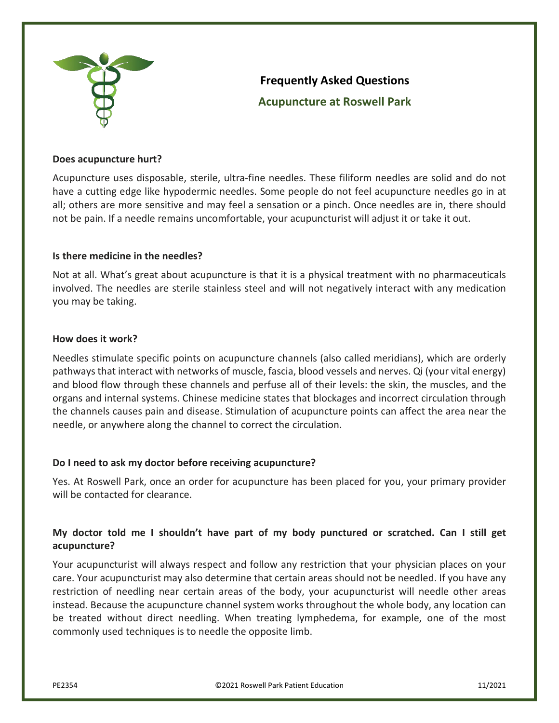

# **Frequently Asked Questions Acupuncture at Roswell Park**

#### **Does acupuncture hurt?**

Acupuncture uses disposable, sterile, ultra-fine needles. These filiform needles are solid and do not have a cutting edge like hypodermic needles. Some people do not feel acupuncture needles go in at all; others are more sensitive and may feel a sensation or a pinch. Once needles are in, there should not be pain. If a needle remains uncomfortable, your acupuncturist will adjust it or take it out.

#### **Is there medicine in the needles?**

Not at all. What's great about acupuncture is that it is a physical treatment with no pharmaceuticals involved. The needles are sterile stainless steel and will not negatively interact with any medication you may be taking.

#### **How does it work?**

Needles stimulate specific points on acupuncture channels (also called meridians), which are orderly pathways that interact with networks of muscle, fascia, blood vessels and nerves. Qi (your vital energy) and blood flow through these channels and perfuse all of their levels: the skin, the muscles, and the organs and internal systems. Chinese medicine states that blockages and incorrect circulation through the channels causes pain and disease. Stimulation of acupuncture points can affect the area near the needle, or anywhere along the channel to correct the circulation.

#### **Do I need to ask my doctor before receiving acupuncture?**

Yes. At Roswell Park, once an order for acupuncture has been placed for you, your primary provider will be contacted for clearance.

## **My doctor told me I shouldn't have part of my body punctured or scratched. Can I still get acupuncture?**

Your acupuncturist will always respect and follow any restriction that your physician places on your care. Your acupuncturist may also determine that certain areas should not be needled. If you have any restriction of needling near certain areas of the body, your acupuncturist will needle other areas instead. Because the acupuncture channel system works throughout the whole body, any location can be treated without direct needling. When treating lymphedema, for example, one of the most commonly used techniques is to needle the opposite limb.